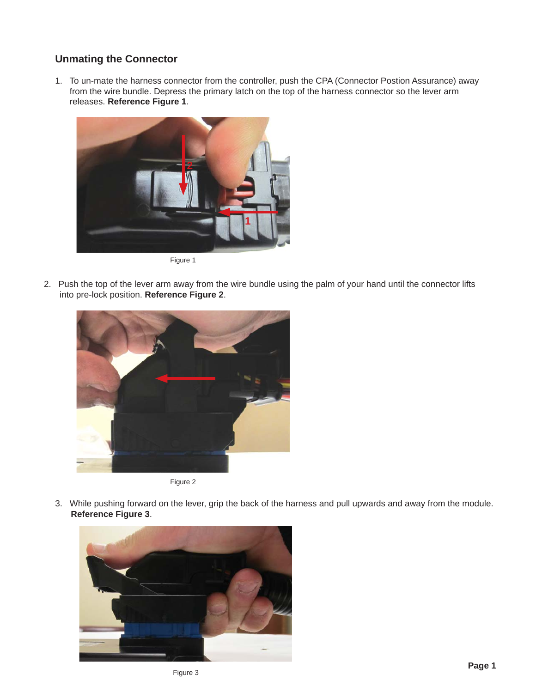## **Unmating the Connector**

1. To un-mate the harness connector from the controller, push the CPA (Connector Postion Assurance) away from the wire bundle. Depress the primary latch on the top of the harness connector so the lever arm releases. **Reference Figure 1**.



Figure 1

2. Push the top of the lever arm away from the wire bundle using the palm of your hand until the connector lifts into pre-lock position. **Reference Figure 2**.





3. While pushing forward on the lever, grip the back of the harness and pull upwards and away from the module. **Reference Figure 3**.

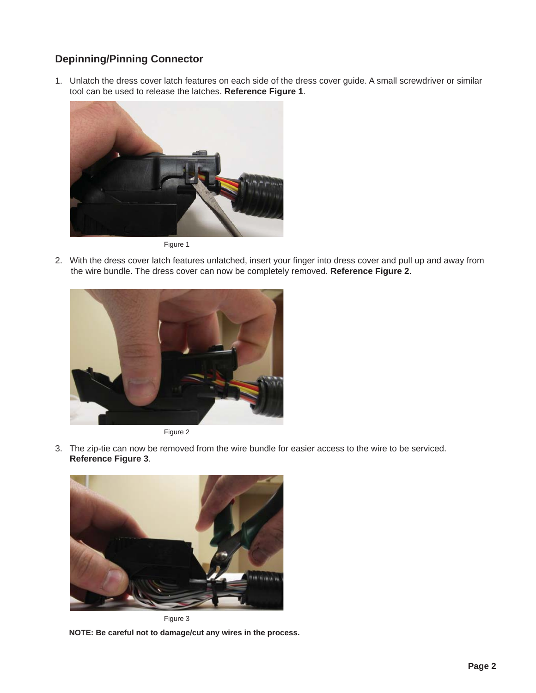# **Depinning/Pinning Connector**

1. Unlatch the dress cover latch features on each side of the dress cover guide. A small screwdriver or similar tool can be used to release the latches. **Reference Figure 1**.



Figure 1

2. With the dress cover latch features unlatched, insert your finger into dress cover and pull up and away from the wire bundle. The dress cover can now be completely removed. **Reference Figure 2**.





3. The zip-tie can now be removed from the wire bundle for easier access to the wire to be serviced.  **Reference Figure 3**.



Figure 3

**NOTE: Be careful not to damage/cut any wires in the process.**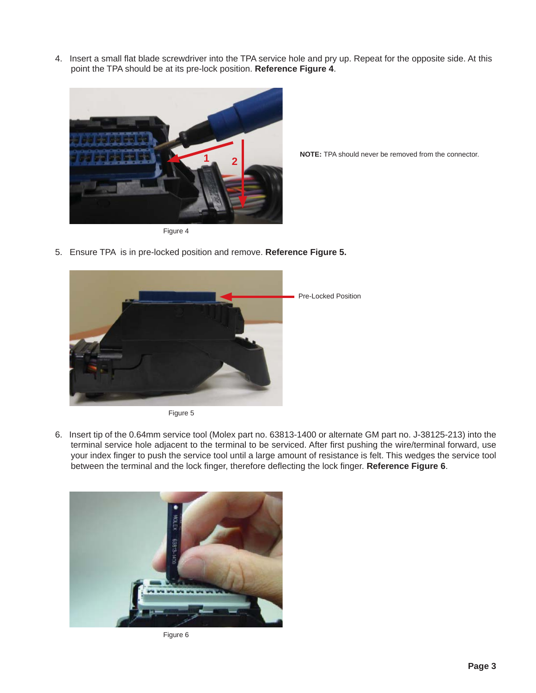4. Insert a small flat blade screwdriver into the TPA service hole and pry up. Repeat for the opposite side. At this point the TPA should be at its pre-lock position. **Reference Figure 4**.



**NOTE:** TPA should never be removed from the connector.

5. Ensure TPA is in pre-locked position and remove. **Reference Figure 5.**





6. Insert tip of the 0.64mm service tool (Molex part no. 63813-1400 or alternate GM part no. J-38125-213) into the terminal service hole adjacent to the terminal to be serviced. After first pushing the wire/terminal forward, use your index finger to push the service tool until a large amount of resistance is felt. This wedges the service tool between the terminal and the lock finger, therefore deflecting the lock finger. Reference Figure 6.



Figure 6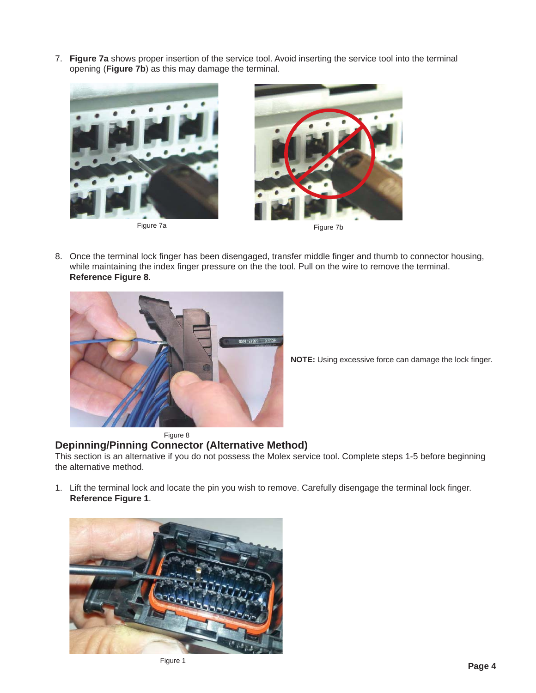7. **Figure 7a** shows proper insertion of the service tool. Avoid inserting the service tool into the terminal opening (**Figure 7b**) as this may damage the terminal.



Figure 7a



8. Once the terminal lock finger has been disengaged, transfer middle finger and thumb to connector housing, while maintaining the index finger pressure on the the tool. Pull on the wire to remove the terminal. **Reference Figure 8**.



**NOTE:** Using excessive force can damage the lock finger.

#### Figure 8

### **Depinning/Pinning Connector (Alternative Method)**

This section is an alternative if you do not possess the Molex service tool. Complete steps 1-5 before beginning the alternative method.

1. Lift the terminal lock and locate the pin you wish to remove. Carefully disengage the terminal lock finger. **Reference Figure 1**.

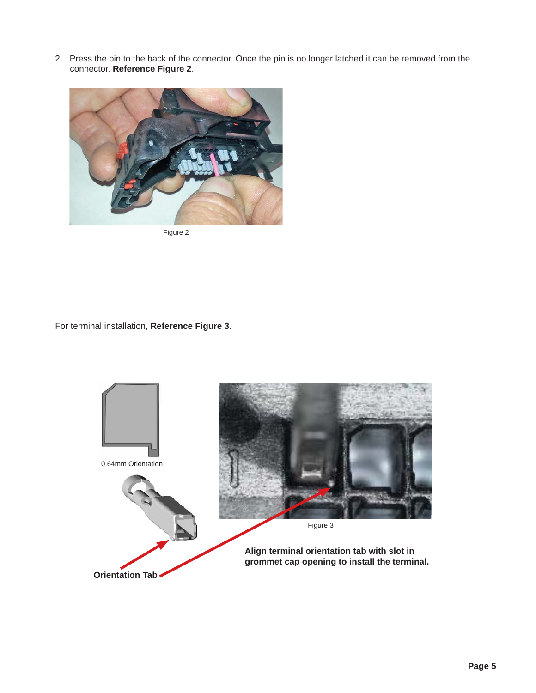2. Press the pin to the back of the connector. Once the pin is no longer latched it can be removed from the connector. **Reference Figure 2**.



Figure 2

For terminal installation, **Reference Figure 3**.

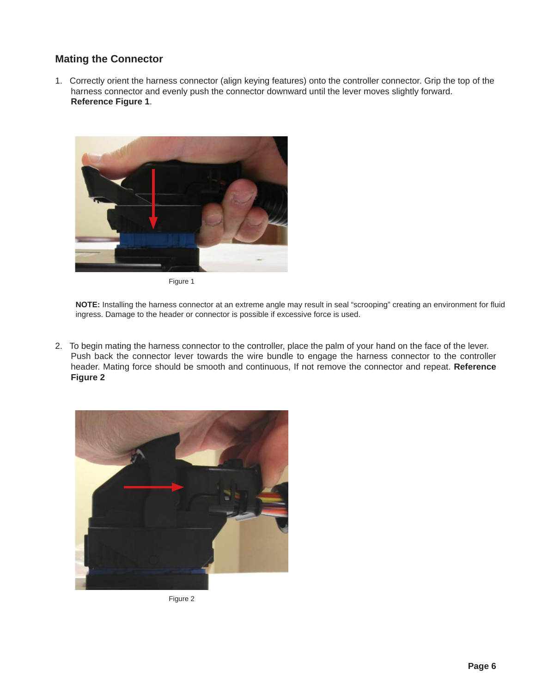## **Mating the Connector**

1. Correctly orient the harness connector (align keying features) onto the controller connector. Grip the top of the harness connector and evenly push the connector downward until the lever moves slightly forward. **Reference Figure 1**.



Figure 1

NOTE: Installing the harness connector at an extreme angle may result in seal "scrooping" creating an environment for fluid ingress. Damage to the header or connector is possible if excessive force is used.

2. To begin mating the harness connector to the controller, place the palm of your hand on the face of the lever. Push back the connector lever towards the wire bundle to engage the harness connector to the controller header. Mating force should be smooth and continuous, If not remove the connector and repeat. **Reference Figure 2**



Figure 2